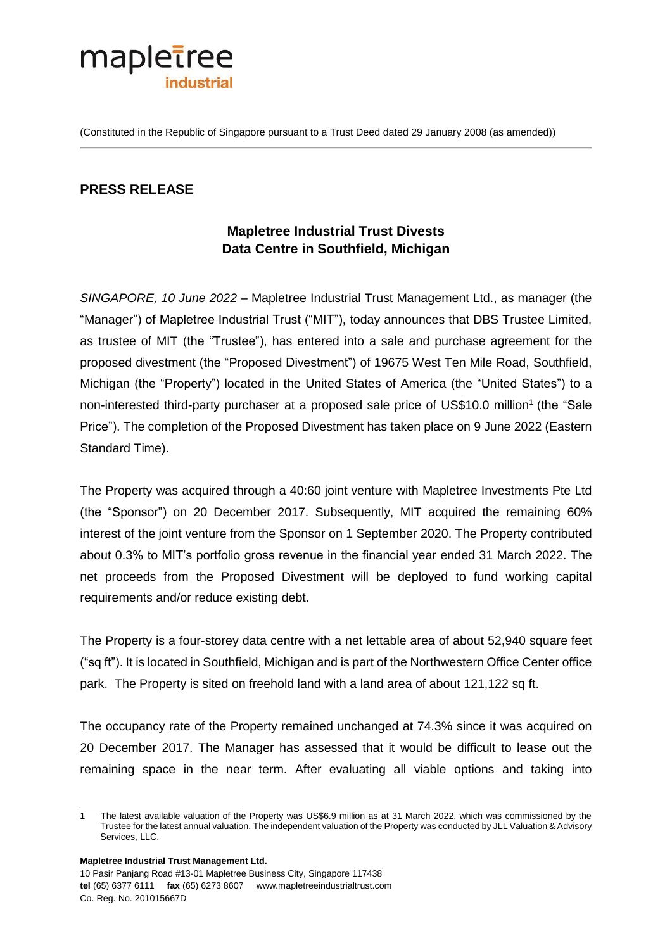

(Constituted in the Republic of Singapore pursuant to a Trust Deed dated 29 January 2008 (as amended))

## **PRESS RELEASE**

# **Mapletree Industrial Trust Divests Data Centre in Southfield, Michigan**

*SINGAPORE, 10 June 2022* – Mapletree Industrial Trust Management Ltd., as manager (the "Manager") of Mapletree Industrial Trust ("MIT"), today announces that DBS Trustee Limited, as trustee of MIT (the "Trustee"), has entered into a sale and purchase agreement for the proposed divestment (the "Proposed Divestment") of 19675 West Ten Mile Road, Southfield, Michigan (the "Property") located in the United States of America (the "United States") to a non-interested third-party purchaser at a proposed sale price of US\$10.0 million<sup>1</sup> (the "Sale Price"). The completion of the Proposed Divestment has taken place on 9 June 2022 (Eastern Standard Time).

The Property was acquired through a 40:60 joint venture with Mapletree Investments Pte Ltd (the "Sponsor") on 20 December 2017. Subsequently, MIT acquired the remaining 60% interest of the joint venture from the Sponsor on 1 September 2020. The Property contributed about 0.3% to MIT's portfolio gross revenue in the financial year ended 31 March 2022. The net proceeds from the Proposed Divestment will be deployed to fund working capital requirements and/or reduce existing debt.

The Property is a four-storey data centre with a net lettable area of about 52,940 square feet ("sq ft"). It is located in Southfield, Michigan and is part of the Northwestern Office Center office park. The Property is sited on freehold land with a land area of about 121,122 sq ft.

The occupancy rate of the Property remained unchanged at 74.3% since it was acquired on 20 December 2017. The Manager has assessed that it would be difficult to lease out the remaining space in the near term. After evaluating all viable options and taking into

**Mapletree Industrial Trust Management Ltd.** 

10 Pasir Panjang Road #13-01 Mapletree Business City, Singapore 117438 **tel** (65) 6377 6111 **fax** (65) 6273 8607 www.mapletreeindustrialtrust.com Co. Reg. No. 201015667D

l 1 The latest available valuation of the Property was US\$6.9 million as at 31 March 2022, which was commissioned by the Trustee for the latest annual valuation. The independent valuation of the Property was conducted by JLL Valuation & Advisory Services, LLC.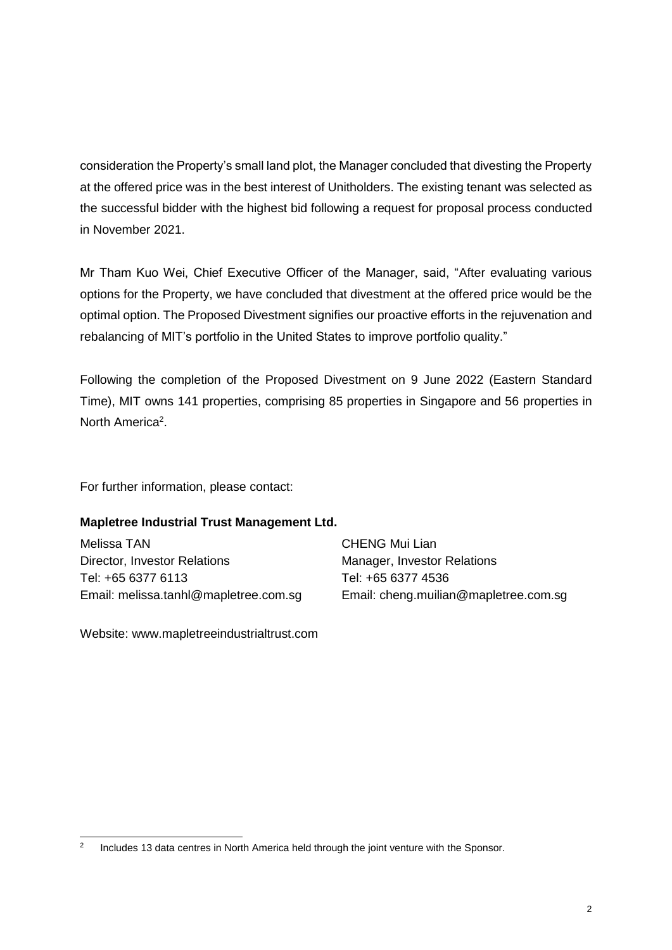consideration the Property's small land plot, the Manager concluded that divesting the Property at the offered price was in the best interest of Unitholders. The existing tenant was selected as the successful bidder with the highest bid following a request for proposal process conducted in November 2021.

Mr Tham Kuo Wei, Chief Executive Officer of the Manager, said, "After evaluating various options for the Property, we have concluded that divestment at the offered price would be the optimal option. The Proposed Divestment signifies our proactive efforts in the rejuvenation and rebalancing of MIT's portfolio in the United States to improve portfolio quality."

Following the completion of the Proposed Divestment on 9 June 2022 (Eastern Standard Time), MIT owns 141 properties, comprising 85 properties in Singapore and 56 properties in North America<sup>2</sup>.

For further information, please contact:

#### **Mapletree Industrial Trust Management Ltd.**

Melissa TAN Director, Investor Relations Tel: +65 6377 6113 Email: melissa.tanhl@mapletree.com.sg CHENG Mui Lian Manager, Investor Relations Tel: +65 6377 4536 Email: cheng.muilian@mapletree.com.sg

Website: www.mapletreeindustrialtrust.com

 $\frac{1}{2}$ Includes 13 data centres in North America held through the joint venture with the Sponsor.